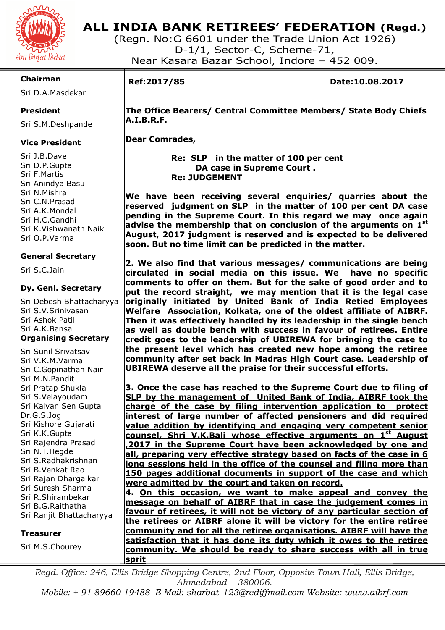

# **ALL INDIA BANK RETIREES' FEDERATION (Regd.)**

(Regn. No:G 6601 under the Trade Union Act 1926) D-1/1, Sector-C, Scheme-71, Near Kasara Bazar School, Indore – 452 009.

# **Chairman**

Sri D.A.Masdekar

### **President**

Sri S.M.Deshpande

### **Vice President**

Sri J.B.Dave Sri D.P.Gupta Sri F.Martis Sri Anindya Basu Sri N.Mishra Sri C.N.Prasad Sri A.K.Mondal Sri H.C.Gandhi Sri K.Vishwanath Naik Sri O.P.Varma

### **General Secretary**

Sri S.C.Jain

### **Dy. Genl. Secretary**

Sri Debesh Bhattacharyya Sri S.V.Srinivasan Sri Ashok Patil Sri A.K.Bansal **Organising Secretary** 

Sri Sunil Srivatsav Sri V.K.M.Varma Sri C.Gopinathan Nair Sri M.N.Pandit Sri Pratap Shukla Sri S.Velayoudam Sri Kalyan Sen Gupta Dr.G.S.Jog Sri Kishore Gujarati Sri K.K.Gupta Sri Rajendra Prasad Sri N.T.Hegde Sri S.Radhakrishnan Sri B.Venkat Rao Sri Rajan Dhargalkar Sri Suresh Sharma Sri R.Shirambekar Sri B.G.Raithatha Sri Ranjit Bhattacharyya

#### **Treasurer**

Sri M.S.Chourey

I

**Ref:2017/85 Date:10.08.2017** 

 **The Office Bearers/ Central Committee Members/ State Body Chiefs A.I.B.R.F.** 

 **Dear Comrades,** 

 **Re: SLP in the matter of 100 per cent DA case in Supreme Court . Re: JUDGEMENT** 

**We have been receiving several enquiries/ quarries about the reserved judgment on SLP in the matter of 100 per cent DA case pending in the Supreme Court. In this regard we may once again advise the membership that on conclusion of the arguments on 1st August, 2017 judgment is reserved and is expected to be delivered soon. But no time limit can be predicted in the matter.** 

**2. We also find that various messages/ communications are being circulated in social media on this issue. We have no specific comments to offer on them. But for the sake of good order and to put the record straight, we may mention that it is the legal case originally initiated by United Bank of India Retied Employees Welfare Association, Kolkata, one of the oldest affiliate of AIBRF. Then it was effectively handled by its leadership in the single bench as well as double bench with success in favour of retirees. Entire credit goes to the leadership of UBIREWA for bringing the case to the present level which has created new hope among the retiree community after set back in Madras High Court case. Leadership of UBIREWA deserve all the praise for their successful efforts.** 

**3. Once the case has reached to the Supreme Court due to filing of SLP by the management of United Bank of India, AIBRF took the charge of the case by filing intervention application to protect interest of large number of affected pensioners and did required value addition by identifying and engaging very competent senior counsel, Shri V.K.Bali whose effective arguments on 1st August ,2017 in the Supreme Court have been acknowledged by one and all, preparing very effective strategy based on facts of the case in 6 long sessions held in the office of the counsel and filing more than 150 pages additional documents in support of the case and which were admitted by the court and taken on record.** 

**4. On this occasion, we want to make appeal and convey the message on behalf of AIBRF that in case the judgement comes in favour of retirees, it will not be victory of any particular section of the retirees or AIBRF alone it will be victory for the entire retiree community and for all the retiree organisations. AIBRF will have the satisfaction that it has done its duty which it owes to the retiree community. We should be ready to share success with all in true sprit** 

*Regd. Office: 246, Ellis Bridge Shopping Centre, 2nd Floor, Opposite Town Hall, Ellis Bridge, Ahmedabad - 380006.* 

*Mobile: + 91 89660 19488 E-Mail: sharbat\_123@rediffmail.com Website: www.aibrf.com*